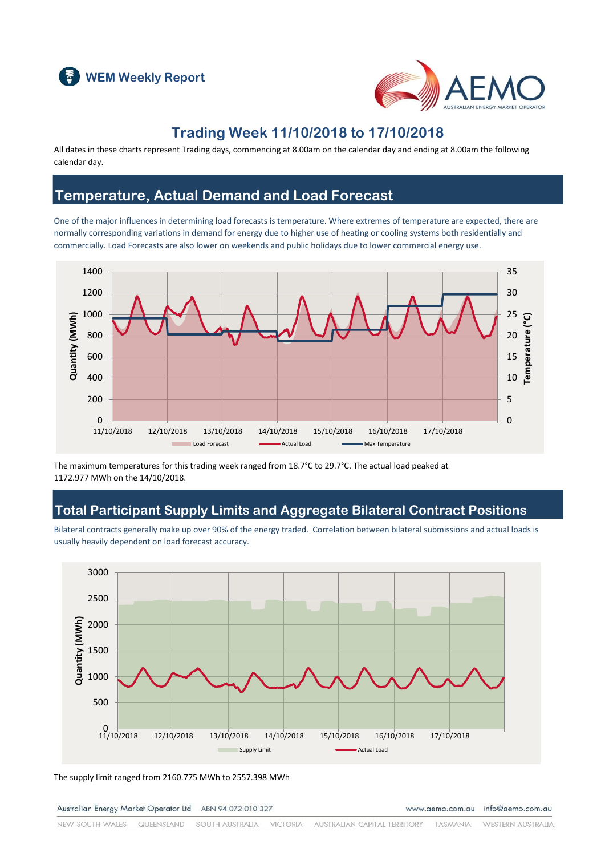



## **Trading Week 11/10/2018 to 17/10/2018**

All dates in these charts represent Trading days, commencing at 8.00am on the calendar day and ending at 8.00am the following calendar day.

#### **Temperature, Actual Demand and Load Forecast**

One of the major influences in determining load forecasts is temperature. Where extremes of temperature are expected, there are normally corresponding variations in demand for energy due to higher use of heating or cooling systems both residentially and commercially. Load Forecasts are also lower on weekends and public holidays due to lower commercial energy use.



The maximum temperatures for this trading week ranged from 18.7°C to 29.7°C. The actual load peaked at 1172.977 MWh on the 14/10/2018.

#### **Total Participant Supply Limits and Aggregate Bilateral Contract Positions**

Bilateral contracts generally make up over 90% of the energy traded. Correlation between bilateral submissions and actual loads is usually heavily dependent on load forecast accuracy.



The supply limit ranged from 2160.775 MWh to 2557.398 MWh

Australian Energy Market Operator Ltd ABN 94 072 010 327

www.aemo.com.au info@aemo.com.au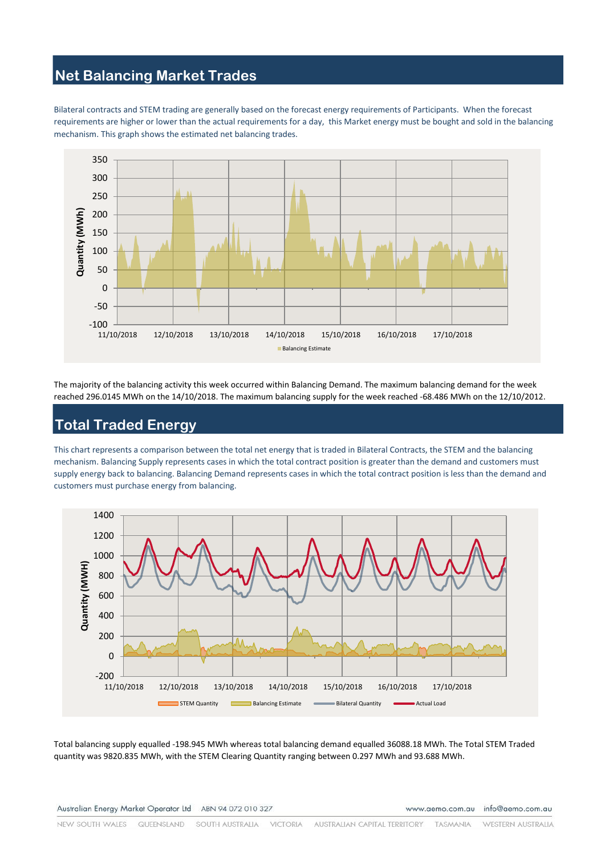## **Net Balancing Market Trades**

Bilateral contracts and STEM trading are generally based on the forecast energy requirements of Participants. When the forecast requirements are higher or lower than the actual requirements for a day, this Market energy must be bought and sold in the balancing mechanism. This graph shows the estimated net balancing trades.



The majority of the balancing activity this week occurred within Balancing Demand. The maximum balancing demand for the week reached 296.0145 MWh on the 14/10/2018. The maximum balancing supply for the week reached -68.486 MWh on the 12/10/2012.

# **Total Traded Energy**

This chart represents a comparison between the total net energy that is traded in Bilateral Contracts, the STEM and the balancing mechanism. Balancing Supply represents cases in which the total contract position is greater than the demand and customers must supply energy back to balancing. Balancing Demand represents cases in which the total contract position is less than the demand and customers must purchase energy from balancing.



Total balancing supply equalled -198.945 MWh whereas total balancing demand equalled 36088.18 MWh. The Total STEM Traded quantity was 9820.835 MWh, with the STEM Clearing Quantity ranging between 0.297 MWh and 93.688 MWh.